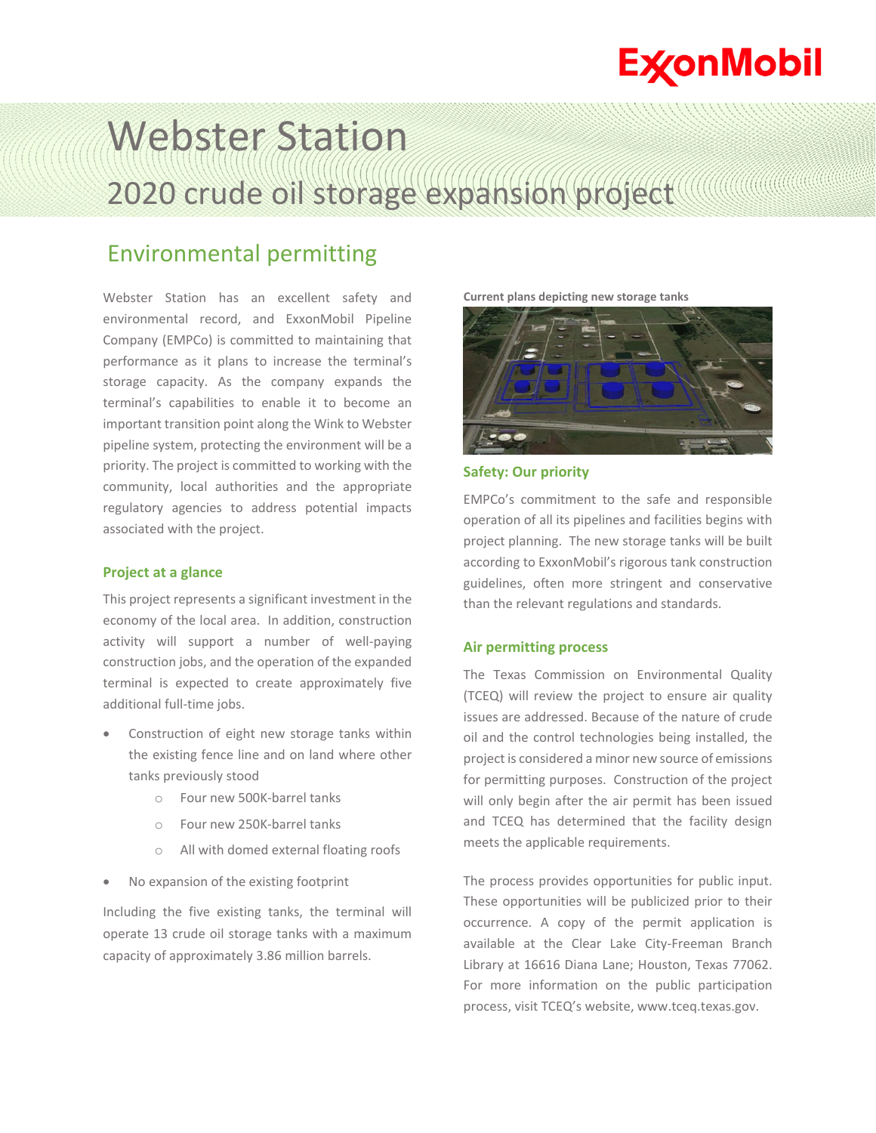## **ExconMobil**

# Webster Station 2020 crude oil storage expansion project

### Environmental permitting

Webster Station has an excellent safety and environmental record, and ExxonMobil Pipeline Company (EMPCo) is committed to maintaining that performance as it plans to increase the terminal's storage capacity. As the company expands the terminal's capabilities to enable it to become an important transition point along the Wink to Webster pipeline system, protecting the environment will be a priority. The project is committed to working with the community, local authorities and the appropriate regulatory agencies to address potential impacts associated with the project.

#### **Project at a glance**

This project represents a significant investment in the economy of the local area. In addition, construction activity will support a number of well-paying construction jobs, and the operation of the expanded terminal is expected to create approximately five additional full-time jobs.

- Construction of eight new storage tanks within the existing fence line and on land where other tanks previously stood
	- o Four new 500K-barrel tanks
	- o Four new 250K-barrel tanks
	- o All with domed external floating roofs
- No expansion of the existing footprint

Including the five existing tanks, the terminal will operate 13 crude oil storage tanks with a maximum capacity of approximately 3.86 million barrels.





**Safety: Our priority**

EMPCo's commitment to the safe and responsible operation of all its pipelines and facilities begins with project planning. The new storage tanks will be built according to ExxonMobil's rigorous tank construction guidelines, often more stringent and conservative than the relevant regulations and standards.

#### **Air permitting process**

The Texas Commission on Environmental Quality (TCEQ) will review the project to ensure air quality issues are addressed. Because of the nature of crude oil and the control technologies being installed, the project is considered a minor new source of emissions for permitting purposes. Construction of the project will only begin after the air permit has been issued and TCEQ has determined that the facility design meets the applicable requirements.

The process provides opportunities for public input. These opportunities will be publicized prior to their occurrence. A copy of the permit application is available at the Clear Lake City-Freeman Branch Library at 16616 Diana Lane; Houston, Texas 77062. For more information on the public participation process, visit TCEQ's website, www.tceq.texas.gov.